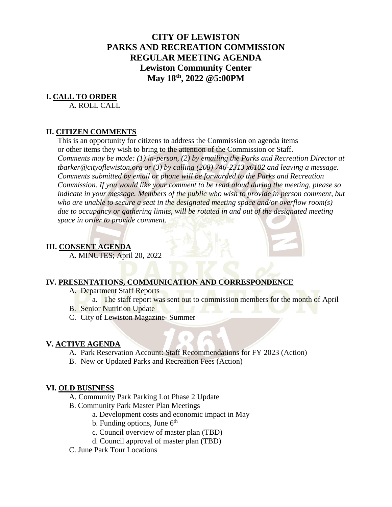# **CITY OF LEWISTON PARKS AND RECREATION COMMISSION REGULAR MEETING AGENDA Lewiston Community Center May 18th, 2022 @5:00PM**

## **I. CALL TO ORDER**

A. ROLL CALL

## **II. CITIZEN COMMENTS**

This is an opportunity for citizens to address the Commission on agenda items or other items they wish to bring to the attention of the Commission or Staff. *Comments may be made: (1) in-person, (2) by emailing the Parks and Recreation Director at tbarker@cityoflewiston.org or (3) by calling (208) 746-2313 x6102 and leaving a message. Comments submitted by email or phone will be forwarded to the Parks and Recreation Commission. If you would like your comment to be read aloud during the meeting, please so indicate in your message. Members of the public who wish to provide in person comment, but who are unable to secure a seat in the designated meeting space and/or overflow room(s) due to occupancy or gathering limits, will be rotated in and out of the designated meeting space in order to provide comment.* 

# **III. CONSENT AGENDA**

A. MINUTES; April 20, 2022

## **IV. PRESENTATIONS, COMMUNICATION AND CORRESPONDENCE**

- A. Department Staff Reports
	- a. The staff report was sent out to commission members for the month of April
- **B.** Senior Nutrition Update
- C. City of Lewiston Magazine- Summer

#### **V. ACTIVE AGENDA**

- A. Park Reservation Account: Staff Recommendations for FY 2023 (Action)
- B. New or Updated Parks and Recreation Fees (Action)

#### **VI. OLD BUSINESS**

- A. Community Park Parking Lot Phase 2 Update
- B. Community Park Master Plan Meetings
	- a. Development costs and economic impact in May
	- b. Funding options, June  $6<sup>th</sup>$
	- c. Council overview of master plan (TBD)
	- d. Council approval of master plan (TBD)
- C. June Park Tour Locations